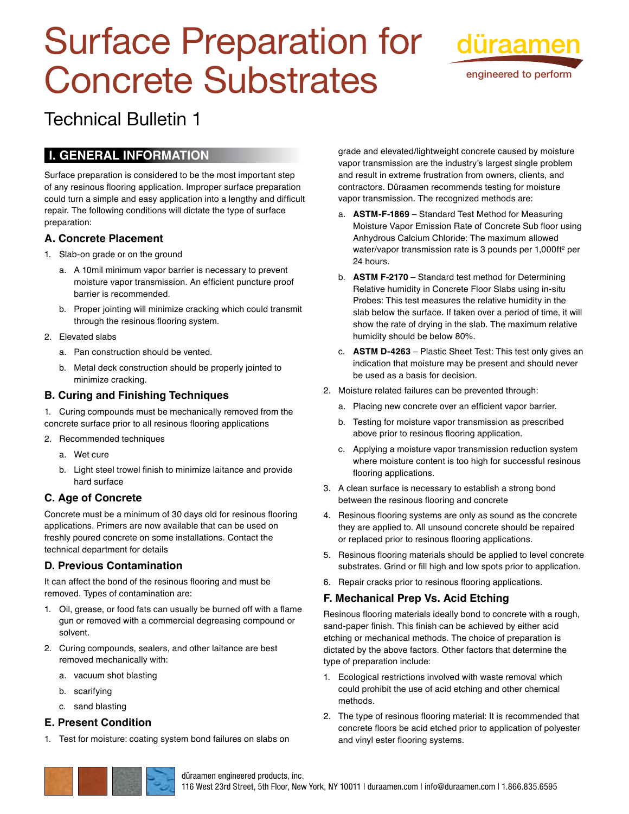# Surface Preparation for düraamen Concrete Substrates



engineered to perform

# Technical Bulletin 1

# **I. General Information**

Surface preparation is considered to be the most important step of any resinous flooring application. Improper surface preparation could turn a simple and easy application into a lengthy and difficult repair. The following conditions will dictate the type of surface preparation:

#### **A. Concrete Placement**

- 1. Slab-on grade or on the ground
	- a. A 10mil minimum vapor barrier is necessary to prevent moisture vapor transmission. An efficient puncture proof barrier is recommended.
	- b. Proper jointing will minimize cracking which could transmit through the resinous flooring system.
- 2. Elevated slabs
	- a. Pan construction should be vented.
	- b. Metal deck construction should be properly jointed to minimize cracking.

#### **B. Curing and Finishing Techniques**

1. Curing compounds must be mechanically removed from the concrete surface prior to all resinous flooring applications

- 2. Recommended techniques
	- a. Wet cure
	- b. Light steel trowel finish to minimize laitance and provide hard surface

## **C. Age of Concrete**

Concrete must be a minimum of 30 days old for resinous flooring applications. Primers are now available that can be used on freshly poured concrete on some installations. Contact the technical department for details

## **D. Previous Contamination**

It can affect the bond of the resinous flooring and must be removed. Types of contamination are:

- 1. Oil, grease, or food fats can usually be burned off with a flame gun or removed with a commercial degreasing compound or solvent.
- 2. Curing compounds, sealers, and other laitance are best removed mechanically with:
	- a. vacuum shot blasting
	- b. scarifying
	- c. sand blasting

#### **E. Present Condition**

1. Test for moisture: coating system bond failures on slabs on

grade and elevated/lightweight concrete caused by moisture vapor transmission are the industry's largest single problem and result in extreme frustration from owners, clients, and contractors. Düraamen recommends testing for moisture vapor transmission. The recognized methods are:

- a. **ASTM -F-1869** Standard Test Method for Measuring Moisture Vapor Emission Rate of Concrete Sub floor using Anhydrous Calcium Chloride: The maximum allowed water/vapor transmission rate is 3 pounds per 1,000ft<sup>2</sup> per 24 hours.
- b. **ASTM F-2170** Standard test method for Determining Relative humidity in Concrete Floor Slabs using in-situ Probes: This test measures the relative humidity in the slab below the surface. If taken over a period of time, it will show the rate of drying in the slab. The maximum relative humidity should be below 80%.
- c. **ASTM D-4263** Plastic Sheet Test: This test only gives an indication that moisture may be present and should never be used as a basis for decision.
- 2. Moisture related failures can be prevented through:
	- a. Placing new concrete over an efficient vapor barrier.
	- b. Testing for moisture vapor transmission as prescribed above prior to resinous flooring application.
	- c. Applying a moisture vapor transmission reduction system where moisture content is too high for successful resinous flooring applications.
- 3. A clean surface is necessary to establish a strong bond between the resinous flooring and concrete
- 4. Resinous flooring systems are only as sound as the concrete they are applied to. All unsound concrete should be repaired or replaced prior to resinous flooring applications.
- 5. Resinous flooring materials should be applied to level concrete substrates. Grind or fill high and low spots prior to application.
- 6. Repair cracks prior to resinous flooring applications.

#### **F. Mechanical Prep Vs. Acid Etching**

Resinous flooring materials ideally bond to concrete with a rough, sand-paper finish. This finish can be achieved by either acid etching or mechanical methods. The choice of preparation is dictated by the above factors. Other factors that determine the type of preparation include:

- 1. Ecological restrictions involved with waste removal which could prohibit the use of acid etching and other chemical methods.
- 2. The type of resinous flooring material: It is recommended that concrete floors be acid etched prior to application of polyester and vinyl ester flooring systems.



#### düraamen engineered products, inc.